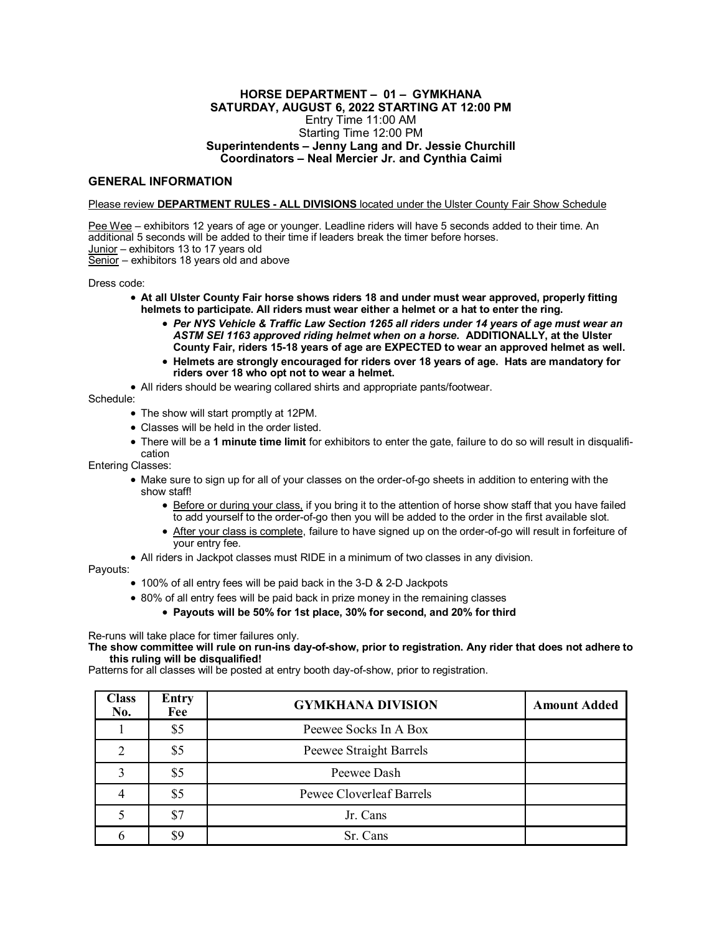## **HORSE DEPARTMENT – 01 – GYMKHANA SATURDAY, AUGUST 6, 2022 STARTING AT 12:00 PM** Entry Time 11:00 AM Starting Time 12:00 PM **Superintendents – Jenny Lang and Dr. Jessie Churchill Coordinators – Neal Mercier Jr. and Cynthia Caimi**

## **GENERAL INFORMATION**

## Please review **DEPARTMENT RULES - ALL DIVISIONS** located under the Ulster County Fair Show Schedule

Pee Wee – exhibitors 12 years of age or younger. Leadline riders will have 5 seconds added to their time. An additional 5 seconds will be added to their time if leaders break the timer before horses. Junior – exhibitors 13 to 17 years old Senior – exhibitors 18 years old and above

Dress code:

- **At all Ulster County Fair horse shows riders 18 and under must wear approved, properly fitting helmets to participate. All riders must wear either a helmet or a hat to enter the ring.**
	- *Per NYS Vehicle & Traffic Law Section 1265 all riders under 14 years of age must wear an ASTM SEI 1163 approved riding helmet when on a horse.* **ADDITIONALLY, at the Ulster County Fair, riders 15-18 years of age are EXPECTED to wear an approved helmet as well.**
	- **Helmets are strongly encouraged for riders over 18 years of age. Hats are mandatory for riders over 18 who opt not to wear a helmet.**

• All riders should be wearing collared shirts and appropriate pants/footwear.

Schedule:

- The show will start promptly at 12PM.
- Classes will be held in the order listed.
- There will be a **1 minute time limit** for exhibitors to enter the gate, failure to do so will result in disqualification

Entering Classes:

- Make sure to sign up for all of your classes on the order-of-go sheets in addition to entering with the show staff!
	- Before or during your class, if you bring it to the attention of horse show staff that you have failed to add yourself to the order-of-go then you will be added to the order in the first available slot.
	- After your class is complete, failure to have signed up on the order-of-go will result in forfeiture of your entry fee.
- All riders in Jackpot classes must RIDE in a minimum of two classes in any division.

Payouts:

- 100% of all entry fees will be paid back in the 3-D & 2-D Jackpots
- 80% of all entry fees will be paid back in prize money in the remaining classes
	- **Payouts will be 50% for 1st place, 30% for second, and 20% for third**

Re-runs will take place for timer failures only.

**The show committee will rule on run-ins day-of-show, prior to registration. Any rider that does not adhere to this ruling will be disqualified!** 

Patterns for all classes will be posted at entry booth day-of-show, prior to registration.

| Class<br>No. | <b>Entry</b><br>Fee | <b>GYMKHANA DIVISION</b>        | <b>Amount Added</b> |
|--------------|---------------------|---------------------------------|---------------------|
|              | \$5                 | Peewee Socks In A Box           |                     |
|              | \$5                 | Peewee Straight Barrels         |                     |
|              | \$5                 | Peewee Dash                     |                     |
|              | \$5                 | <b>Pewee Cloverleaf Barrels</b> |                     |
|              | \$7                 | Jr. Cans                        |                     |
|              | \$9                 | Sr. Cans                        |                     |